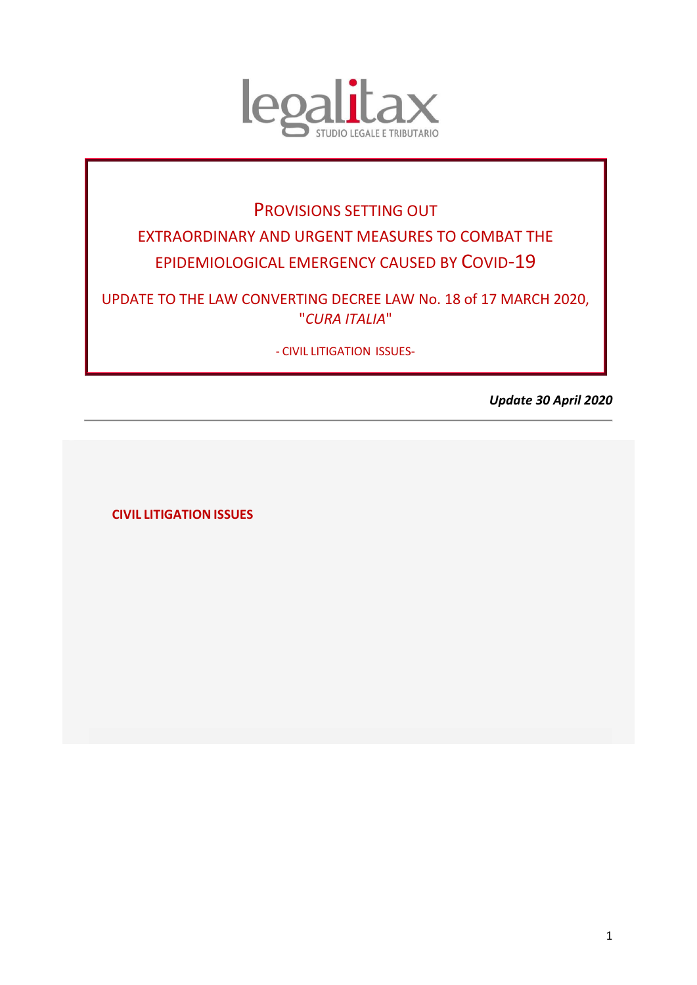

# PROVISIONS SETTING OUT EXTRAORDINARY AND URGENT MEASURES TO COMBAT THE EPIDEMIOLOGICAL EMERGENCY CAUSED BY COVID-19

UPDATE TO THE LAW CONVERTING DECREE LAW No. 18 of 17 MARCH 2020, "*CURA ITALIA*"

- CIVIL LITIGATION ISSUES-

*Update 30 April 2020*

<span id="page-0-0"></span>**CIVIL LITIGATION ISSUES**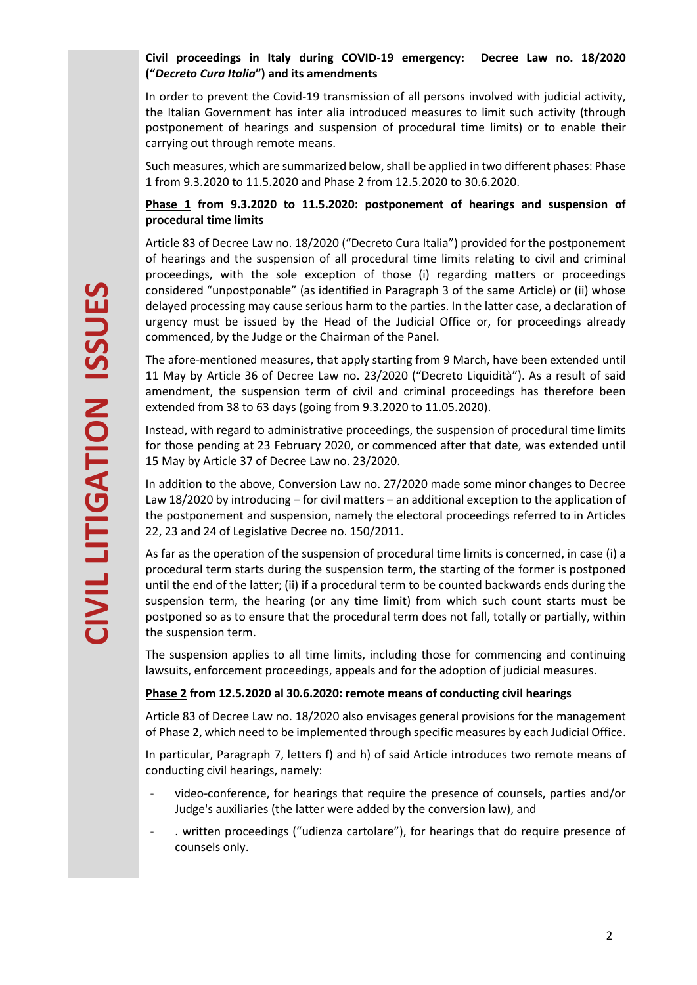## **Civil proceedings in Italy during COVID-19 emergency: Decree Law no. 18/2020 ("***Decreto Cura Italia***") and its amendments**

In order to prevent the Covid-19 transmission of all persons involved with judicial activity, the Italian Government has inter alia introduced measures to limit such activity (through postponement of hearings and suspension of procedural time limits) or to enable their carrying out through remote means.

Such measures, which are summarized below, shall be applied in two different phases: Phase 1 from 9.3.2020 to 11.5.2020 and Phase 2 from 12.5.2020 to 30.6.2020.

#### **Phase 1 from 9.3.2020 to 11.5.2020: postponement of hearings and suspension of procedural time limits**

Article 83 of Decree Law no. 18/2020 ("Decreto Cura Italia") provided for the postponement of hearings and the suspension of all procedural time limits relating to civil and criminal proceedings, with the sole exception of those (i) regarding matters or proceedings considered "unpostponable" (as identified in Paragraph 3 of the same Article) or (ii) whose delayed processing may cause serious harm to the parties. In the latter case, a declaration of urgency must be issued by the Head of the Judicial Office or, for proceedings already commenced, by the Judge or the Chairman of the Panel.

The afore-mentioned measures, that apply starting from 9 March, have been extended until 11 May by Article 36 of Decree Law no. 23/2020 ("Decreto Liquidità"). As a result of said amendment, the suspension term of civil and criminal proceedings has therefore been extended from 38 to 63 days (going from 9.3.2020 to 11.05.2020).

Instead, with regard to administrative proceedings, the suspension of procedural time limits for those pending at 23 February 2020, or commenced after that date, was extended until 15 May by Article 37 of Decree Law no. 23/2020.

In addition to the above, Conversion Law no. 27/2020 made some minor changes to Decree Law 18/2020 by introducing – for civil matters – an additional exception to the application of the postponement and suspension, namely the electoral proceedings referred to in Articles 22, 23 and 24 of Legislative Decree no. 150/2011.

As far as the operation of the suspension of procedural time limits is concerned, in case (i) a procedural term starts during the suspension term, the starting of the former is postponed until the end of the latter; (ii) if a procedural term to be counted backwards ends during the suspension term, the hearing (or any time limit) from which such count starts must be postponed so as to ensure that the procedural term does not fall, totally or partially, within the suspension term.

The suspension applies to all time limits, including those for commencing and continuing lawsuits, enforcement proceedings, appeals and for the adoption of judicial measures.

## **Phase 2 from 12.5.2020 al 30.6.2020: remote means of conducting civil hearings**

Article 83 of Decree Law no. 18/2020 also envisages general provisions for the management of Phase 2, which need to be implemented through specific measures by each Judicial Office.

In particular, Paragraph 7, letters f) and h) of said Article introduces two remote means of conducting civil hearings, namely:

- video-conference, for hearings that require the presence of counsels, parties and/or Judge's auxiliaries (the latter were added by the conversion law), and
- . written proceedings ("udienza cartolare"), for hearings that do require presence of counsels only.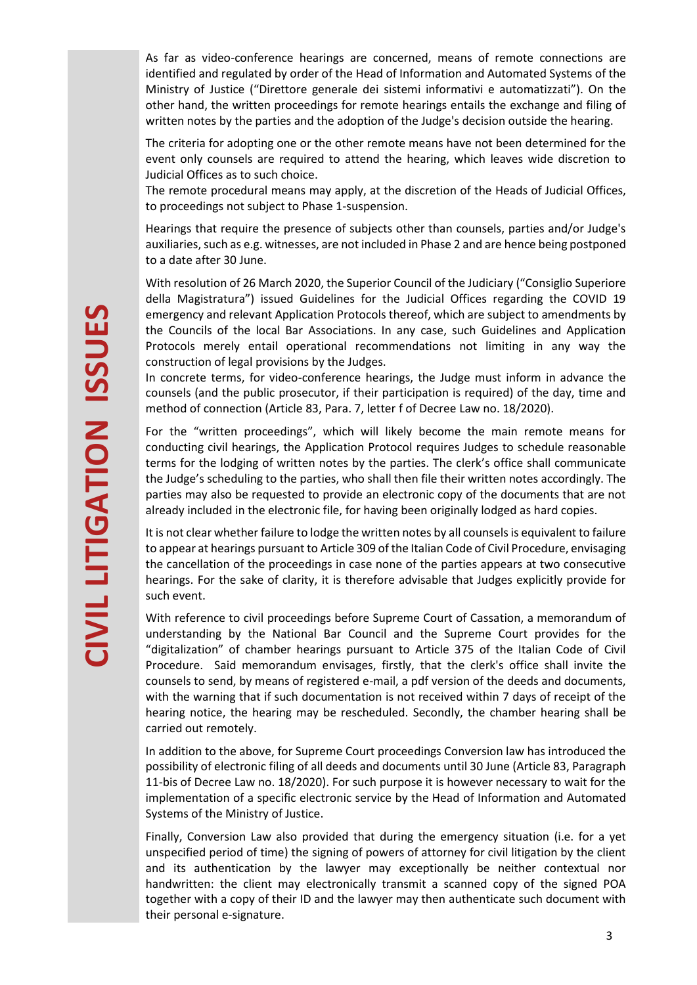As far as video-conference hearings are concerned, means of remote connections are identified and regulated by order of the Head of Information and Automated Systems of the Ministry of Justice ("Direttore generale dei sistemi informativi e automatizzati"). On the other hand, the written proceedings for remote hearings entails the exchange and filing of written notes by the parties and the adoption of the Judge's decision outside the hearing.

The criteria for adopting one or the other remote means have not been determined for the event only counsels are required to attend the hearing, which leaves wide discretion to Judicial Offices as to such choice.

The remote procedural means may apply, at the discretion of the Heads of Judicial Offices, to proceedings not subject to Phase 1-suspension.

Hearings that require the presence of subjects other than counsels, parties and/or Judge's auxiliaries, such as e.g. witnesses, are not included in Phase 2 and are hence being postponed to a date after 30 June.

With resolution of 26 March 2020, the Superior Council of the Judiciary ("Consiglio Superiore della Magistratura") issued Guidelines for the Judicial Offices regarding the COVID 19 emergency and relevant Application Protocols thereof, which are subject to amendments by the Councils of the local Bar Associations. In any case, such Guidelines and Application Protocols merely entail operational recommendations not limiting in any way the construction of legal provisions by the Judges.

In concrete terms, for video-conference hearings, the Judge must inform in advance the counsels (and the public prosecutor, if their participation is required) of the day, time and method of connection (Article 83, Para. 7, letter f of Decree Law no. 18/2020).

For the "written proceedings", which will likely become the main remote means for conducting civil hearings, the Application Protocol requires Judges to schedule reasonable terms for the lodging of written notes by the parties. The clerk's office shall communicate the Judge's scheduling to the parties, who shall then file their written notes accordingly. The parties may also be requested to provide an electronic copy of the documents that are not already included in the electronic file, for having been originally lodged as hard copies.

It is not clear whether failure to lodge the written notes by all counsels is equivalent to failure to appear at hearings pursuant to Article 309 of the Italian Code of Civil Procedure, envisaging the cancellation of the proceedings in case none of the parties appears at two consecutive hearings. For the sake of clarity, it is therefore advisable that Judges explicitly provide for such event.

With reference to civil proceedings before Supreme Court of Cassation, a memorandum of understanding by the National Bar Council and the Supreme Court provides for the "digitalization" of chamber hearings pursuant to Article 375 of the Italian Code of Civil Procedure. Said memorandum envisages, firstly, that the clerk's office shall invite the counsels to send, by means of registered e-mail, a pdf version of the deeds and documents, with the warning that if such documentation is not received within 7 days of receipt of the hearing notice, the hearing may be rescheduled. Secondly, the chamber hearing shall be carried out remotely.

In addition to the above, for Supreme Court proceedings Conversion law has introduced the possibility of electronic filing of all deeds and documents until 30 June (Article 83, Paragraph 11-bis of Decree Law no. 18/2020). For such purpose it is however necessary to wait for the implementation of a specific electronic service by the Head of Information and Automated Systems of the Ministry of Justice.

Finally, Conversion Law also provided that during the emergency situation (i.e. for a yet unspecified period of time) the signing of powers of attorney for civil litigation by the client and its authentication by the lawyer may exceptionally be neither contextual nor handwritten: the client may electronically transmit a scanned copy of the signed POA together with a copy of their ID and the lawyer may then authenticate such document with their personal e-signature.